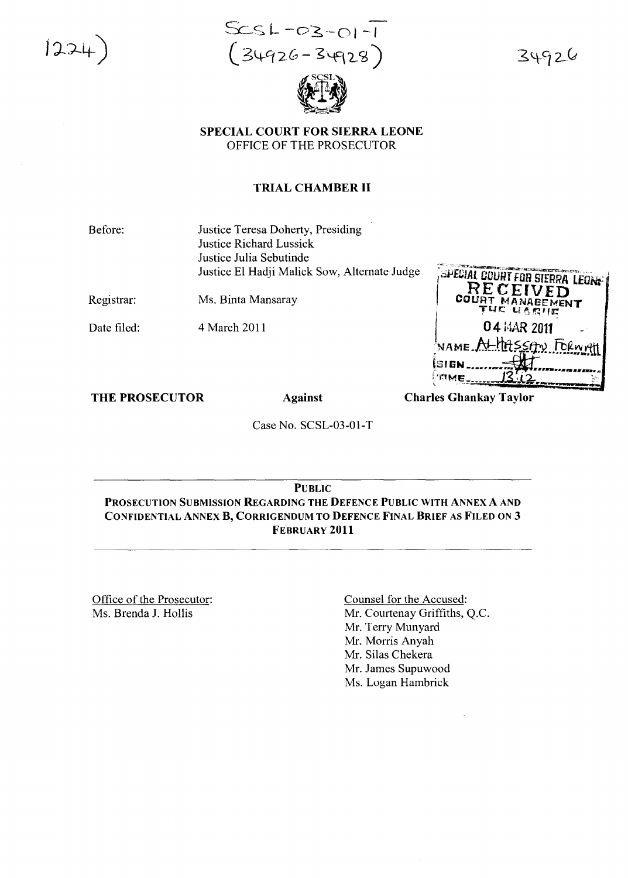$1224$ 

 $SCSL-OZ-O1 -1$ <br> $(34926 - 34928)$ 



34926

SPECIAL COURT FOR SIERRA LEONE OFFICE OF THE PROSECUTOR

# TRIAL CHAMBER II

Before:

Justice Teresa Doherty, Presiding Justice Richard Lussick Justice Julia Sebutinde Justice EI Hadji Malick Sow, Alternate Judge

Registrar:

Ms. Binta Mansaray

Date filed:

4 March 2011

| SPECIAL COURT FOR SIERRA LEONE<br>RECEIVED<br>COURT MANAGEMENT<br>THE UARUE |  |
|-----------------------------------------------------------------------------|--|
| 04 MAR 2011                                                                 |  |
| NAME At the SSAN FORWALL                                                    |  |
| នៃរ <b>ច</b> ស                                                              |  |
|                                                                             |  |

THE PROSECUTOR

Against

**Charles Ghankay Taylor** 

Case No. SCSL-03-0l-T

PUBLIC PROSECUTION SUBMISSION REGARDING THE DEFENCE PUBLIC WITH ANNEX A AND CONFIDENTIAL ANNEX B, CORRIGENDUM TO DEFENCE FINAL BRIEF AS FILED ON 3 FEBRUARY 2011

Office of the Prosecutor: Ms. Brenda J. Hollis

Counsel for the Accused: Mr. Courtenay Griffiths, Q.c. Mr. Terry Munyard Mr. Morris Anyah Mr. Silas Chekera Mr. James Supuwood Ms. Logan Hambrick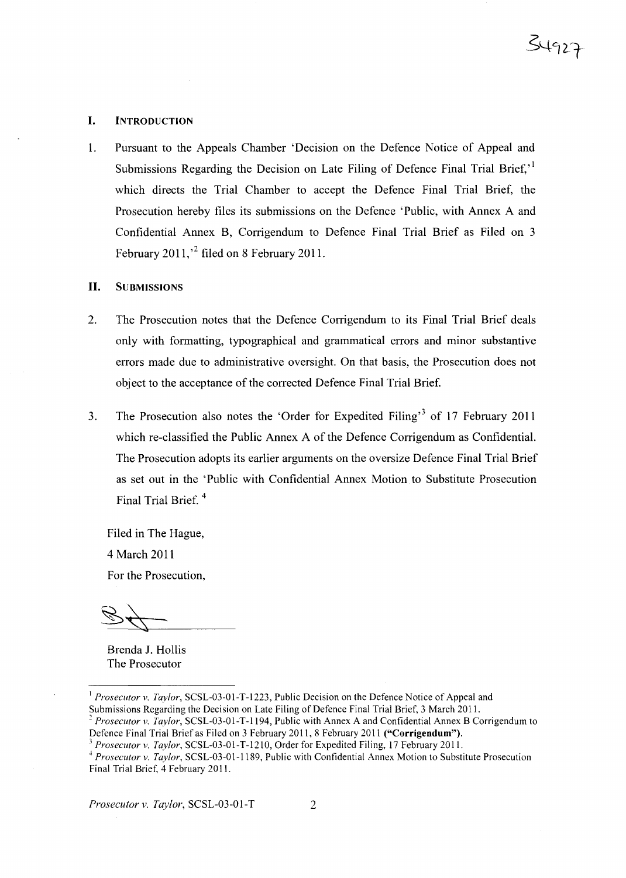#### I. INTRODUCTION

1. Pursuant to the Appeals Chamber 'Decision on the Defence Notice of Appeal and Submissions Regarding the Decision on Late Filing of Defence Final Trial Brief.<sup>1</sup> which directs the Trial Chamber to accept the Defence Final Trial Brief, the Prosecution hereby files its submissions on the Defence 'Public, with Annex A and Confidential Annex B, Corrigendum to Defence Final Trial Brief as Filed on 3 February 2011,<sup>2</sup> filed on 8 February 2011.

## **II.** SUBMISSIONS

- 2. The Prosecution notes that the Defence Corrigendum to its Final Trial Brief deals only with formatting, typographical and grammatical errors and minor substantive errors made due to administrative oversight. On that basis, the Prosecution does not object to the acceptance of the corrected Defence Final Trial Brief.
- 3. The Prosecution also notes the 'Order for Expedited Filing'<sup>3</sup> of 17 February 2011 which re-classified the Public Annex A of the Defence Corrigendum as Confidential. The Prosecution adopts its earlier arguments on the oversize Defence Final Trial Brief as set out in the 'Public with Confidential Annex Motion to Substitute Prosecution Final Trial Brief. 4

Filed in The Hague, 4 March 2011 For the Prosecution,

Brenda J. Hollis The Prosecutor

<sup>I</sup> *Prosecutor* v. *Taylor,* SCSL-03-01-T-1223, Public Decision on the Defence Notice of Appeal and Submissions Regarding the Decision on Late Filing of Defence Final Trial Brief, 3 March 2011.

*<sup>2</sup> Prosecutor* v. *Taylor,* SCSL-03-01-T-1194, Public with Annex A and Confidential Annex B Corrigendum to Defence Final Trial Brief as Filed on 3 February 2011, 8 February 2011 ("Corrigendum").

*<sup>3</sup> Prosecutor* v. *Taylor,* SCSL-03-01-T-1210, Order for Expedited Filing, 17 February 2011.

*Prosecutor* v. *Taylor,* SCSL-03-01-1189, Public with Confidential Annex Motion to Substitute Prosecution Final Trial Brief, 4 February 2011.